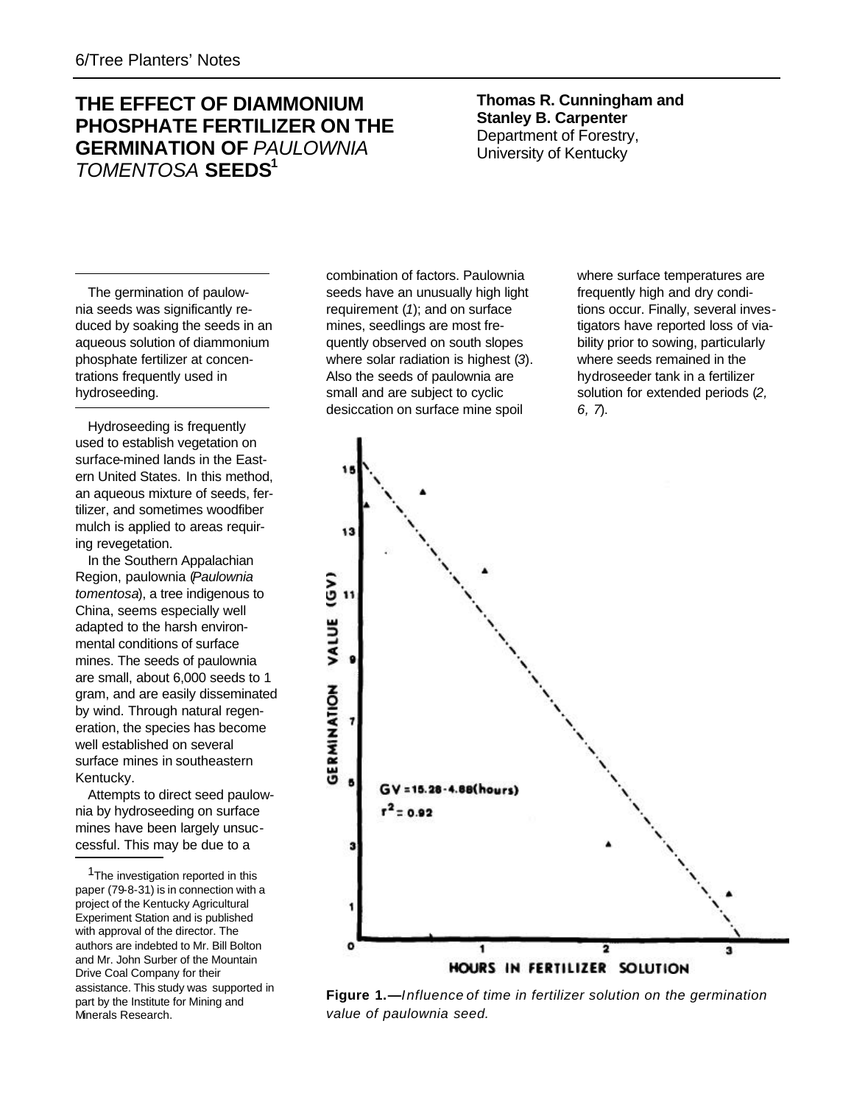# **THE EFFECT OF DIAMMONIUM PHOSPHATE FERTILIZER ON THE GERMINATION OF** *PAULOWNIA TOMENTOSA* **SEEDS<sup>1</sup>**

**Thomas R. Cunningham and Stanley B. Carpenter** Department of Forestry, University of Kentucky

The germination of paulownia seeds was significantly reduced by soaking the seeds in an aqueous solution of diammonium phosphate fertilizer at concentrations frequently used in hydroseeding.

Hydroseeding is frequently used to establish vegetation on surface-mined lands in the Eastern United States. In this method, an aqueous mixture of seeds, fertilizer, and sometimes woodfiber mulch is applied to areas requiring revegetation.

In the Southern Appalachian Region, paulownia (*Paulownia tomentosa*), a tree indigenous to China, seems especially well adapted to the harsh environmental conditions of surface mines. The seeds of paulownia are small, about 6,000 seeds to 1 gram, and are easily disseminated by wind. Through natural regeneration, the species has become well established on several surface mines in southeastern Kentucky.

Attempts to direct seed paulownia by hydroseeding on surface mines have been largely unsuccessful. This may be due to a

combination of factors. Paulownia seeds have an unusually high light requirement (*1*); and on surface mines, seedlings are most frequently observed on south slopes where solar radiation is highest (*3*). Also the seeds of paulownia are small and are subject to cyclic desiccation on surface mine spoil

where surface temperatures are frequently high and dry conditions occur. Finally, several investigators have reported loss of viability prior to sowing, particularly where seeds remained in the hydroseeder tank in a fertilizer solution for extended periods (*2, 6, 7*).



**Figure 1.—***Influence of time in fertilizer solution on the germination value of paulownia seed.*

<sup>&</sup>lt;sup>1</sup>The investigation reported in this paper (79-8-31) is in connection with a project of the Kentucky Agricultural Experiment Station and is published with approval of the director. The authors are indebted to Mr. Bill Bolton and Mr. John Surber of the Mountain Drive Coal Company for their assistance. This study was supported in part by the Institute for Mining and Minerals Research.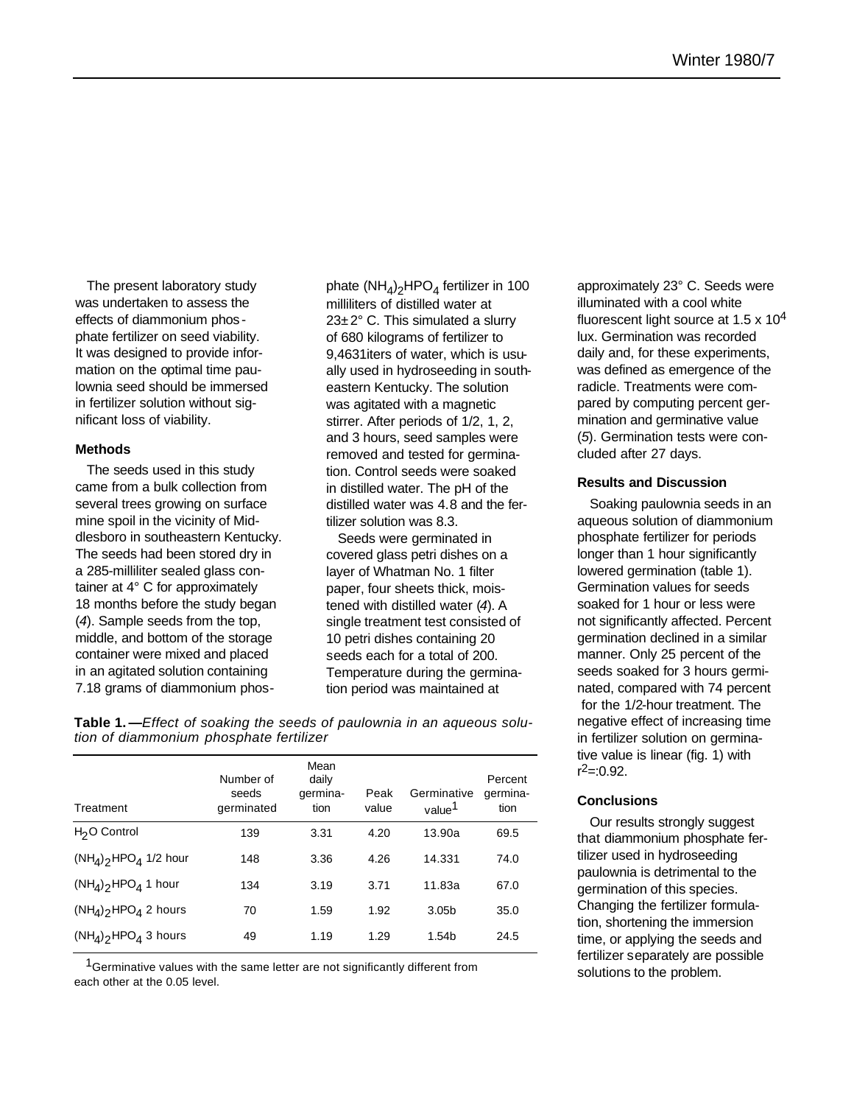The present laboratory study was undertaken to assess the effects of diammonium phos phate fertilizer on seed viability. It was designed to provide information on the optimal time paulownia seed should be immersed in fertilizer solution without significant loss of viability.

#### **Methods**

The seeds used in this study came from a bulk collection from several trees growing on surface mine spoil in the vicinity of Middlesboro in southeastern Kentucky. The seeds had been stored dry in a 285-milliliter sealed glass container at 4° C for approximately 18 months before the study began (*4*). Sample seeds from the top, middle, and bottom of the storage container were mixed and placed in an agitated solution containing 7.18 grams of diammonium phos-

phate (NH<sub>4</sub>)<sub>2</sub>HPO<sub>4</sub> fertilizer in 100 milliliters of distilled water at  $23\pm2^{\circ}$  C. This simulated a slurry of 680 kilograms of fertilizer to 9,4631iters of water, which is usually used in hydroseeding in southeastern Kentucky. The solution was agitated with a magnetic stirrer. After periods of 1/2, 1, 2, and 3 hours, seed samples were removed and tested for germination. Control seeds were soaked in distilled water. The pH of the distilled water was 4.8 and the fertilizer solution was 8.3.

Seeds were germinated in covered glass petri dishes on a layer of Whatman No. 1 filter paper, four sheets thick, moistened with distilled water (*4*). A single treatment test consisted of 10 petri dishes containing 20 seeds each for a total of 200. Temperature during the germination period was maintained at

**Table 1. —***Effect of soaking the seeds of paulownia in an aqueous solution of diammonium phosphate fertilizer*

| Treatment                | Number of<br>seeds<br>germinated | Mean<br>daily<br>germina-<br>tion | Peak<br>value | Germinative<br>value <sup>1</sup> | Percent<br>germina-<br>tion |
|--------------------------|----------------------------------|-----------------------------------|---------------|-----------------------------------|-----------------------------|
| H <sub>2</sub> O Control | 139                              | 3.31                              | 4.20          | 13.90a                            | 69.5                        |
| $(NHA)_{2}HPOA$ 1/2 hour | 148                              | 3.36                              | 4.26          | 14.331                            | 74.0                        |
| $(NHA)_{2}HPOA$ 1 hour   | 134                              | 3.19                              | 3.71          | 11.83a                            | 67.0                        |
| $(NH_4)_2 HPO_4$ 2 hours | 70                               | 1.59                              | 1.92          | 3.05 <sub>b</sub>                 | 35.0                        |
| $(NHA)_{2}HPOA$ 3 hours  | 49                               | 1.19                              | 1.29          | 1.54b                             | 24.5                        |

<sup>1</sup>Germinative values with the same letter are not significantly different from each other at the 0.05 level.

approximately 23° C. Seeds were illuminated with a cool white fluorescent light source at 1.5  $\times$  10<sup>4</sup> lux. Germination was recorded daily and, for these experiments, was defined as emergence of the radicle. Treatments were compared by computing percent germination and germinative value (*5*). Germination tests were concluded after 27 days.

## **Results and Discussion**

Soaking paulownia seeds in an aqueous solution of diammonium phosphate fertilizer for periods longer than 1 hour significantly lowered germination (table 1). Germination values for seeds soaked for 1 hour or less were not significantly affected. Percent germination declined in a similar manner. Only 25 percent of the seeds soaked for 3 hours germinated, compared with 74 percent for the 1/2-hour treatment. The negative effect of increasing time in fertilizer solution on germinative value is linear (fig. 1) with r 2=:0.92.

## **Conclusions**

Our results strongly suggest that diammonium phosphate fertilizer used in hydroseeding paulownia is detrimental to the germination of this species. Changing the fertilizer formulation, shortening the immersion time, or applying the seeds and fertilizer separately are possible solutions to the problem.